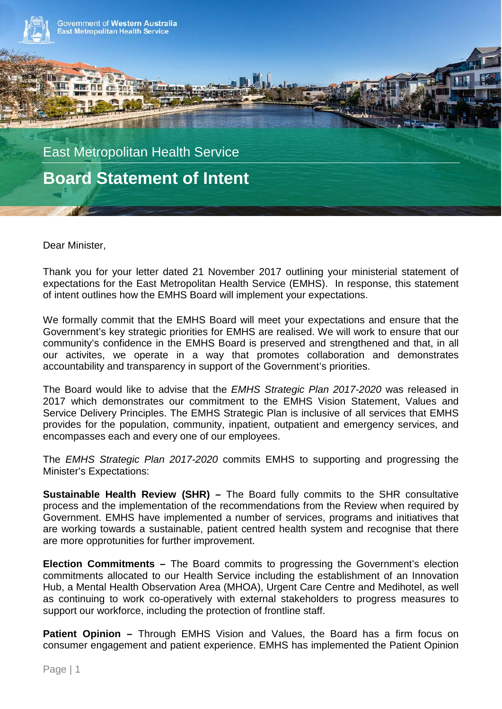

Dear Minister,

Thank you for your letter dated 21 November 2017 outlining your ministerial statement of expectations for the East Metropolitan Health Service (EMHS). In response, this statement of intent outlines how the EMHS Board will implement your expectations.

We formally commit that the EMHS Board will meet your expectations and ensure that the Government's key strategic priorities for EMHS are realised. We will work to ensure that our community's confidence in the EMHS Board is preserved and strengthened and that, in all our activites, we operate in a way that promotes collaboration and demonstrates accountability and transparency in support of the Government's priorities.

The Board would like to advise that the *EMHS Strategic Plan 2017-2020* was released in 2017 which demonstrates our commitment to the EMHS Vision Statement, Values and Service Delivery Principles. The EMHS Strategic Plan is inclusive of all services that EMHS provides for the population, community, inpatient, outpatient and emergency services, and encompasses each and every one of our employees.

The *EMHS Strategic Plan 2017-2020* commits EMHS to supporting and progressing the Minister's Expectations:

**Sustainable Health Review (SHR) –** The Board fully commits to the SHR consultative process and the implementation of the recommendations from the Review when required by Government. EMHS have implemented a number of services, programs and initiatives that are working towards a sustainable, patient centred health system and recognise that there are more opprotunities for further improvement.

**Election Commitments –** The Board commits to progressing the Government's election commitments allocated to our Health Service including the establishment of an Innovation Hub, a Mental Health Observation Area (MHOA), Urgent Care Centre and Medihotel, as well as continuing to work co-operatively with external stakeholders to progress measures to support our workforce, including the protection of frontline staff.

**Patient Opinion –** Through EMHS Vision and Values, the Board has a firm focus on consumer engagement and patient experience. EMHS has implemented the Patient Opinion